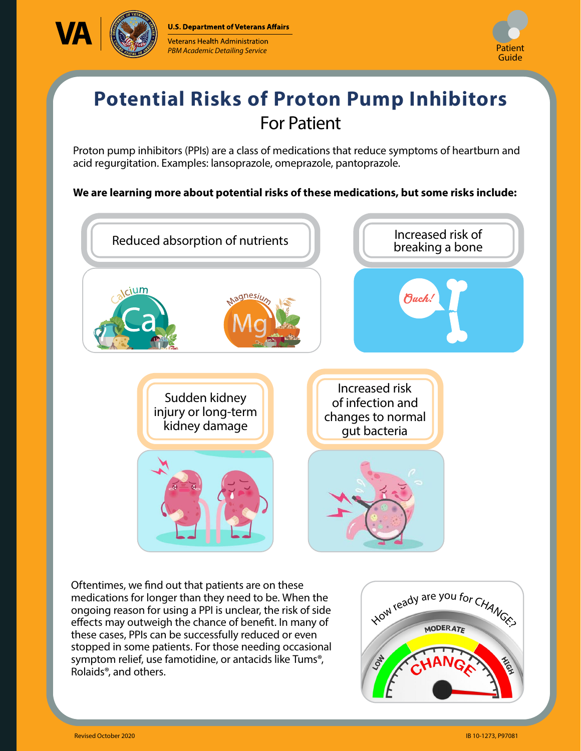



## **Potential Risks of Proton Pump Inhibitors**  For Patient

Proton pump inhibitors (PPIs) are a class of medications that reduce symptoms of heartburn and acid regurgitation. Examples: lansoprazole, omeprazole, pantoprazole.

## **We are learning more about potential risks of these medications, but some risks include:**



Oftentimes, we find out that patients are on these medications for longer than they need to be. When the ongoing reason for using a PPI is unclear, the risk of side effects may outweigh the chance of benefit. In many of these cases, PPIs can be successfully reduced or even stopped in some patients. For those needing occasional symptom relief, use famotidine, or antacids like Tums®, Rolaids®, and others.